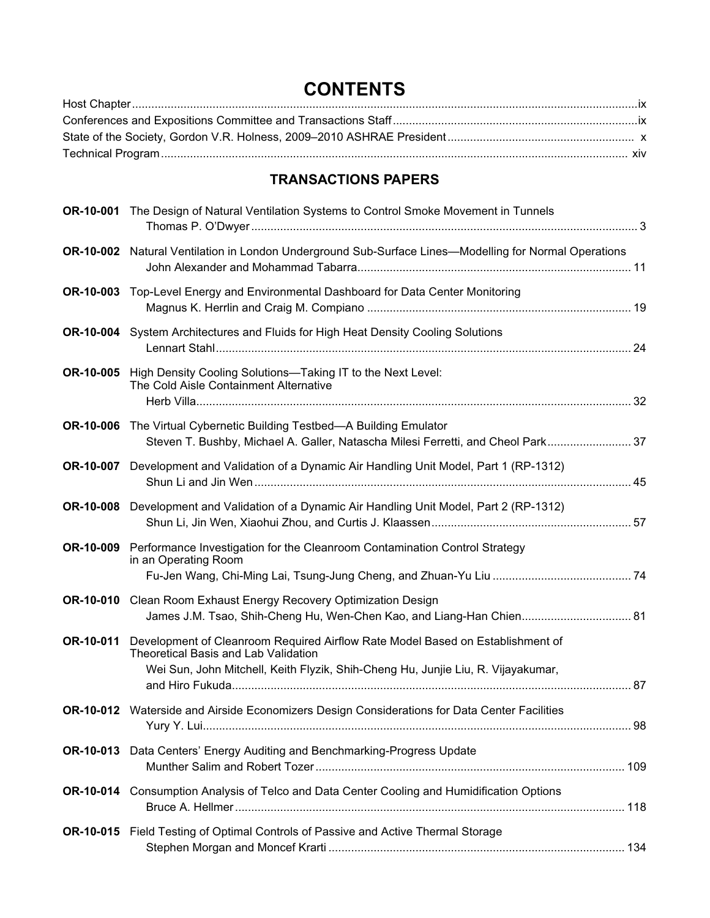## **CONTENTS**

## **TRANSACTIONS PAPERS**

|           | <b>OR-10-001</b> The Design of Natural Ventilation Systems to Control Smoke Movement in Tunnels                                                                                                            |     |
|-----------|------------------------------------------------------------------------------------------------------------------------------------------------------------------------------------------------------------|-----|
|           | OR-10-002 Natural Ventilation in London Underground Sub-Surface Lines-Modelling for Normal Operations                                                                                                      |     |
|           | OR-10-003 Top-Level Energy and Environmental Dashboard for Data Center Monitoring                                                                                                                          |     |
|           | OR-10-004 System Architectures and Fluids for High Heat Density Cooling Solutions                                                                                                                          |     |
| OR-10-005 | High Density Cooling Solutions-Taking IT to the Next Level:<br>The Cold Aisle Containment Alternative                                                                                                      |     |
| OR-10-006 | The Virtual Cybernetic Building Testbed-A Building Emulator<br>Steven T. Bushby, Michael A. Galler, Natascha Milesi Ferretti, and Cheol Park 37                                                            |     |
| OR-10-007 | Development and Validation of a Dynamic Air Handling Unit Model, Part 1 (RP-1312)                                                                                                                          |     |
| OR-10-008 | Development and Validation of a Dynamic Air Handling Unit Model, Part 2 (RP-1312)                                                                                                                          |     |
| OR-10-009 | Performance Investigation for the Cleanroom Contamination Control Strategy<br>in an Operating Room                                                                                                         |     |
| OR-10-010 | Clean Room Exhaust Energy Recovery Optimization Design<br>James J.M. Tsao, Shih-Cheng Hu, Wen-Chen Kao, and Liang-Han Chien 81                                                                             |     |
| OR-10-011 | Development of Cleanroom Required Airflow Rate Model Based on Establishment of<br>Theoretical Basis and Lab Validation<br>Wei Sun, John Mitchell, Keith Flyzik, Shih-Cheng Hu, Junjie Liu, R. Vijayakumar, |     |
|           | OR-10-012 Waterside and Airside Economizers Design Considerations for Data Center Facilities                                                                                                               | .98 |
| OR-10-013 | Data Centers' Energy Auditing and Benchmarking-Progress Update                                                                                                                                             |     |
|           | OR-10-014 Consumption Analysis of Telco and Data Center Cooling and Humidification Options                                                                                                                 |     |
|           | OR-10-015 Field Testing of Optimal Controls of Passive and Active Thermal Storage                                                                                                                          |     |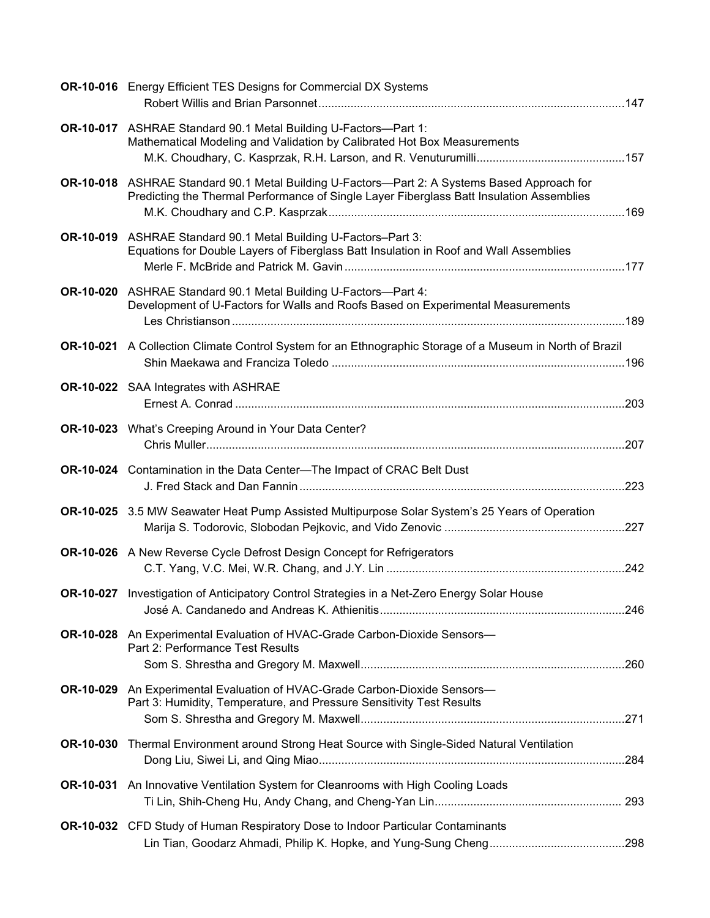|                  | <b>OR-10-016</b> Energy Efficient TES Designs for Commercial DX Systems                                                                                                                  |  |
|------------------|------------------------------------------------------------------------------------------------------------------------------------------------------------------------------------------|--|
|                  | OR-10-017 ASHRAE Standard 90.1 Metal Building U-Factors-Part 1:<br>Mathematical Modeling and Validation by Calibrated Hot Box Measurements                                               |  |
|                  | OR-10-018 ASHRAE Standard 90.1 Metal Building U-Factors—Part 2: A Systems Based Approach for<br>Predicting the Thermal Performance of Single Layer Fiberglass Batt Insulation Assemblies |  |
|                  | OR-10-019 ASHRAE Standard 90.1 Metal Building U-Factors-Part 3:<br>Equations for Double Layers of Fiberglass Batt Insulation in Roof and Wall Assemblies                                 |  |
|                  | OR-10-020 ASHRAE Standard 90.1 Metal Building U-Factors-Part 4:<br>Development of U-Factors for Walls and Roofs Based on Experimental Measurements                                       |  |
|                  | OR-10-021 A Collection Climate Control System for an Ethnographic Storage of a Museum in North of Brazil                                                                                 |  |
|                  | OR-10-022 SAA Integrates with ASHRAE                                                                                                                                                     |  |
|                  | <b>OR-10-023</b> What's Creeping Around in Your Data Center?                                                                                                                             |  |
|                  | <b>OR-10-024</b> Contamination in the Data Center-The Impact of CRAC Belt Dust                                                                                                           |  |
|                  | OR-10-025 3.5 MW Seawater Heat Pump Assisted Multipurpose Solar System's 25 Years of Operation                                                                                           |  |
|                  | <b>OR-10-026</b> A New Reverse Cycle Defrost Design Concept for Refrigerators                                                                                                            |  |
|                  | OR-10-027 Investigation of Anticipatory Control Strategies in a Net-Zero Energy Solar House                                                                                              |  |
|                  | OR-10-028 An Experimental Evaluation of HVAC-Grade Carbon-Dioxide Sensors-<br>Part 2: Performance Test Results                                                                           |  |
| OR-10-029        | An Experimental Evaluation of HVAC-Grade Carbon-Dioxide Sensors-<br>Part 3: Humidity, Temperature, and Pressure Sensitivity Test Results                                                 |  |
| <b>OR-10-030</b> | Thermal Environment around Strong Heat Source with Single-Sided Natural Ventilation                                                                                                      |  |
|                  | OR-10-031 An Innovative Ventilation System for Cleanrooms with High Cooling Loads                                                                                                        |  |
|                  | OR-10-032 CFD Study of Human Respiratory Dose to Indoor Particular Contaminants                                                                                                          |  |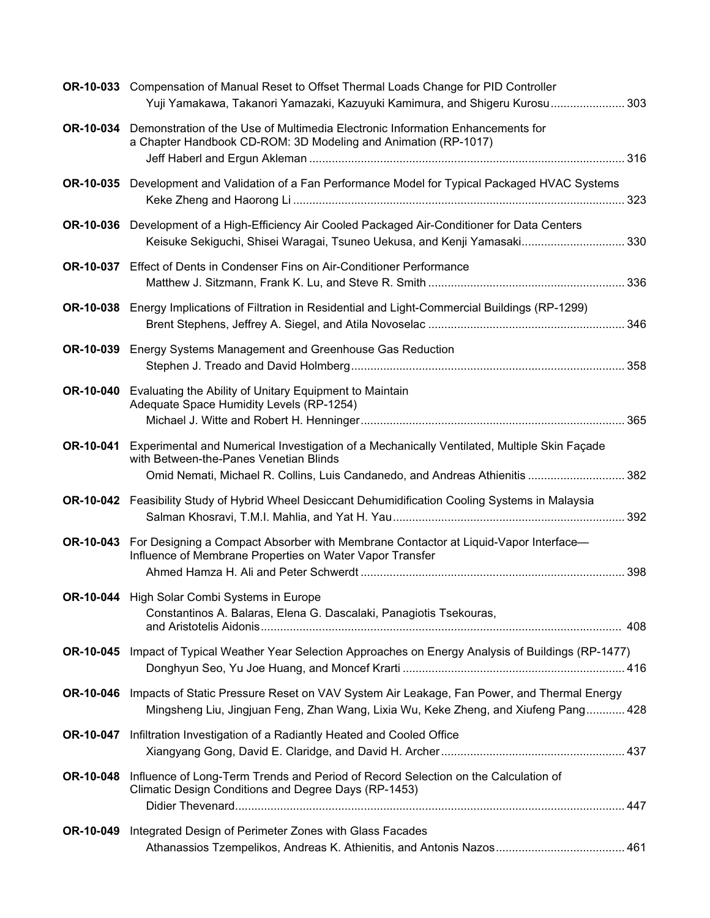|           | OR-10-033 Compensation of Manual Reset to Offset Thermal Loads Change for PID Controller                                                                                                                              |  |
|-----------|-----------------------------------------------------------------------------------------------------------------------------------------------------------------------------------------------------------------------|--|
|           | Yuji Yamakawa, Takanori Yamazaki, Kazuyuki Kamimura, and Shigeru Kurosu 303                                                                                                                                           |  |
|           | OR-10-034 Demonstration of the Use of Multimedia Electronic Information Enhancements for<br>a Chapter Handbook CD-ROM: 3D Modeling and Animation (RP-1017)                                                            |  |
|           |                                                                                                                                                                                                                       |  |
|           | OR-10-035 Development and Validation of a Fan Performance Model for Typical Packaged HVAC Systems                                                                                                                     |  |
|           | OR-10-036 Development of a High-Efficiency Air Cooled Packaged Air-Conditioner for Data Centers                                                                                                                       |  |
|           | Keisuke Sekiguchi, Shisei Waragai, Tsuneo Uekusa, and Kenji Yamasaki 330                                                                                                                                              |  |
|           | <b>OR-10-037</b> Effect of Dents in Condenser Fins on Air-Conditioner Performance                                                                                                                                     |  |
|           | OR-10-038 Energy Implications of Filtration in Residential and Light-Commercial Buildings (RP-1299)                                                                                                                   |  |
| OR-10-039 | Energy Systems Management and Greenhouse Gas Reduction                                                                                                                                                                |  |
|           |                                                                                                                                                                                                                       |  |
| OR-10-040 | Evaluating the Ability of Unitary Equipment to Maintain<br>Adequate Space Humidity Levels (RP-1254)                                                                                                                   |  |
|           |                                                                                                                                                                                                                       |  |
| OR-10-041 | Experimental and Numerical Investigation of a Mechanically Ventilated, Multiple Skin Façade<br>with Between-the-Panes Venetian Blinds<br>Omid Nemati, Michael R. Collins, Luis Candanedo, and Andreas Athienitis  382 |  |
|           | OR-10-042 Feasibility Study of Hybrid Wheel Desiccant Dehumidification Cooling Systems in Malaysia                                                                                                                    |  |
|           |                                                                                                                                                                                                                       |  |
| OR-10-043 | For Designing a Compact Absorber with Membrane Contactor at Liquid-Vapor Interface—<br>Influence of Membrane Properties on Water Vapor Transfer                                                                       |  |
|           | <b>OR-10-044</b> High Solar Combi Systems in Europe                                                                                                                                                                   |  |
|           | Constantinos A. Balaras, Elena G. Dascalaki, Panagiotis Tsekouras,                                                                                                                                                    |  |
|           | OR-10-045 Impact of Typical Weather Year Selection Approaches on Energy Analysis of Buildings (RP-1477)                                                                                                               |  |
| OR-10-046 | Impacts of Static Pressure Reset on VAV System Air Leakage, Fan Power, and Thermal Energy<br>Mingsheng Liu, Jingjuan Feng, Zhan Wang, Lixia Wu, Keke Zheng, and Xiufeng Pang 428                                      |  |
| OR-10-047 | Infiltration Investigation of a Radiantly Heated and Cooled Office                                                                                                                                                    |  |
| OR-10-048 | Influence of Long-Term Trends and Period of Record Selection on the Calculation of<br>Climatic Design Conditions and Degree Days (RP-1453)                                                                            |  |
| OR-10-049 | Integrated Design of Perimeter Zones with Glass Facades<br>Athanassios Tzempelikos, Andreas K. Athienitis, and Antonis Nazos 461                                                                                      |  |